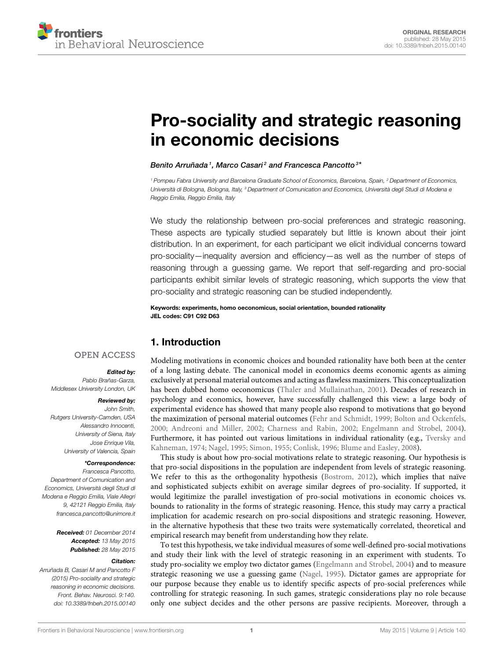

# **[Pro-sociality and strategic reasoning](http://journal.frontiersin.org/article/10.3389/fnbeh.2015.00140/abstract) in economic decisions**

*[Benito Arruñada1](http://community.frontiersin.org/people/u/211501), [Marco Casari](http://community.frontiersin.org/people/u/197322) <sup>2</sup> and [Francesca Pancotto](http://community.frontiersin.org/people/u/195272)3 \**

*<sup>1</sup> Pompeu Fabra University and Barcelona Graduate School of Economics, Barcelona, Spain, <sup>2</sup> Department of Economics, Università di Bologna, Bologna, Italy, <sup>3</sup> Department of Comunication and Economics, Università degli Studi di Modena e Reggio Emilia, Reggio Emilia, Italy*

We study the relationship between pro-social preferences and strategic reasoning. These aspects are typically studied separately but little is known about their joint distribution. In an experiment, for each participant we elicit individual concerns toward pro-sociality—inequality aversion and efficiency—as well as the number of steps of reasoning through a guessing game. We report that self-regarding and pro-social participants exhibit similar levels of strategic reasoning, which supports the view that pro-sociality and strategic reasoning can be studied independently.

**Keywords: experiments, homo oeconomicus, social orientation, bounded rationality JEL codes: C91 C92 D63**

# **1. Introduction**

## **OPEN ACCESS**

#### *Edited by:*

*Pablo Brañas-Garza, Middlesex University London, UK*

### *Reviewed by:*

*John Smith, Rutgers University-Camden, USA Alessandro Innocenti, University of Siena, Italy Jose Enrique Vila, University of Valencia, Spain*

### *\*Correspondence:*

*Francesca Pancotto, Department of Comunication and Economics, Università degli Studi di Modena e Reggio Emilia, Viale Allegri 9, 42121 Reggio Emilia, Italy [francesca.pancotto@unimore.it](mailto:francesca.pancotto@unimore.it)*

> *Received: 01 December 2014 Accepted: 13 May 2015 Published: 28 May 2015*

#### *Citation:*

*Arruñada B, Casari M and Pancotto F (2015) Pro-sociality and strategic reasoning in economic decisions. Front. Behav. Neurosci. 9:140. doi: [10.3389/fnbeh.2015.00140](http://dx.doi.org/10.3389/fnbeh.2015.00140)*

Modeling motivations in economic choices and bounded rationality have both been at the center of a long lasting debate. The canonical model in economics deems economic agents as aiming exclusively at personal material outcomes and acting as flawless maximizers. This conceptualization has been dubbed homo oeconomicus [\(Thaler and Mullainathan, 2001\)](#page-6-0). Decades of research in psychology and economics, however, have successfully challenged this view: a large body of experimental evidence has showed that many people also respond to motivations that go beyond the maximization of personal material outcomes [\(Fehr and Schmidt, 1999;](#page-5-0) [Bolton and Ockenfels,](#page-5-1) [2000;](#page-5-1) [Andreoni and Miller, 2002;](#page-5-2) [Charness and Rabin, 2002;](#page-5-3) [Engelmann and Strobel, 2004\)](#page-5-4). Furthermore, it has pointed out various limitations in individual rationality (e.g., Tversky and Kahneman, [1974;](#page-6-1) [Nagel, 1995;](#page-6-2) [Simon, 1955;](#page-6-3) [Conlisk, 1996;](#page-5-5) [Blume and Easley, 2008\)](#page-5-6).

This study is about how pro-social motivations relate to strategic reasoning. Our hypothesis is that pro-social dispositions in the population are independent from levels of strategic reasoning. We refer to this as the orthogonality hypothesis [\(Bostrom, 2012\)](#page-5-7), which implies that naïve and sophisticated subjects exhibit on average similar degrees of pro-sociality. If supported, it would legitimize the parallel investigation of pro-social motivations in economic choices vs. bounds to rationality in the forms of strategic reasoning. Hence, this study may carry a practical implication for academic research on pro-social dispositions and strategic reasoning. However, in the alternative hypothesis that these two traits were systematically correlated, theoretical and empirical research may benefit from understanding how they relate.

To test this hypothesis, we take individual measures of some well-defined pro-social motivations and study their link with the level of strategic reasoning in an experiment with students. To study pro-sociality we employ two dictator games [\(Engelmann and Strobel, 2004\)](#page-5-4) and to measure strategic reasoning we use a guessing game [\(Nagel, 1995\)](#page-6-2). Dictator games are appropriate for our purpose because they enable us to identify specific aspects of pro-social preferences while controlling for strategic reasoning. In such games, strategic considerations play no role because only one subject decides and the other persons are passive recipients. Moreover, through a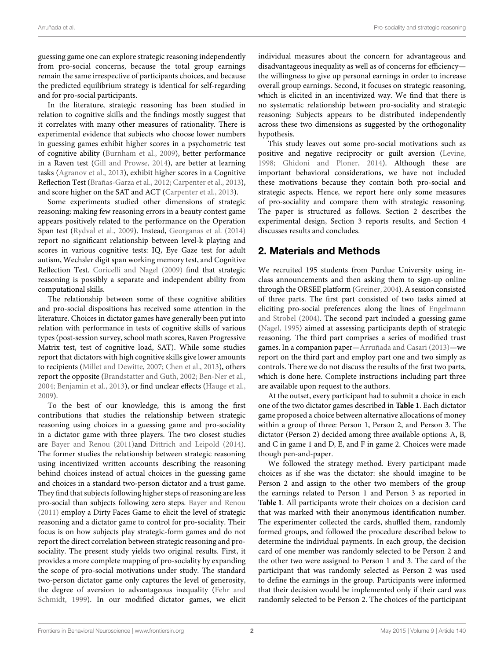guessing game one can explore strategic reasoning independently from pro-social concerns, because the total group earnings remain the same irrespective of participants choices, and because the predicted equilibrium strategy is identical for self-regarding and for pro-social participants.

In the literature, strategic reasoning has been studied in relation to cognitive skills and the findings mostly suggest that it correlates with many other measures of rationality. There is experimental evidence that subjects who choose lower numbers in guessing games exhibit higher scores in a psychometric test of cognitive ability [\(Burnham et al., 2009\)](#page-5-8), better performance in a Raven test [\(Gill and Prowse, 2014\)](#page-5-9), are better at learning tasks [\(Agranov et al., 2013\)](#page-5-10), exhibit higher scores in a Cognitive Reflection Test [\(Brañas-Garza et al., 2012;](#page-5-11) [Carpenter et al., 2013\)](#page-5-12), and score higher on the SAT and ACT [\(Carpenter et al., 2013\)](#page-5-12).

Some experiments studied other dimensions of strategic reasoning: making few reasoning errors in a beauty contest game appears positively related to the performance on the Operation Span test [\(Rydval et al., 2009\)](#page-6-4). Instead, [Georganas et al.](#page-5-13) [\(2014\)](#page-5-13) report no significant relationship between level-k playing and scores in various cognitive tests: IQ, Eye Gaze test for adult autism, Wechsler digit span working memory test, and Cognitive Reflection Test. [Coricelli and Nagel](#page-5-14) [\(2009\)](#page-5-14) find that strategic reasoning is possibly a separate and independent ability from computational skills.

The relationship between some of these cognitive abilities and pro-social dispositions has received some attention in the literature. Choices in dictator games have generally been put into relation with performance in tests of cognitive skills of various types (post-session survey, school math scores, Raven Progressive Matrix test, test of cognitive load, SAT). While some studies report that dictators with high cognitive skills give lower amounts to recipients [\(Millet and Dewitte, 2007;](#page-6-5) [Chen et al., 2013\)](#page-5-15), others report the opposite [\(Brandstatter and Guth, 2002;](#page-5-16) [Ben-Ner et al.,](#page-5-17) [2004;](#page-5-17) [Benjamin et al., 2013\)](#page-5-18), or find unclear effects [\(Hauge et al.,](#page-6-6) [2009\)](#page-6-6).

To the best of our knowledge, this is among the first contributions that studies the relationship between strategic reasoning using choices in a guessing game and pro-sociality in a dictator game with three players. The two closest studies are [Bayer and Renou](#page-5-19) [\(2011\)](#page-5-19)and [Dittrich and Leipold](#page-5-20) [\(2014\)](#page-5-20). The former studies the relationship between strategic reasoning using incentivized written accounts describing the reasoning behind choices instead of actual choices in the guessing game and choices in a standard two-person dictator and a trust game. They find that subjects following higher steps of reasoning are less pro-social than subjects following zero steps. [Bayer and Renou](#page-5-19) [\(2011\)](#page-5-19) employ a Dirty Faces Game to elicit the level of strategic reasoning and a dictator game to control for pro-sociality. Their focus is on how subjects play strategic-form games and do not report the direct correlation between strategic reasoning and prosociality. The present study yields two original results. First, it provides a more complete mapping of pro-sociality by expanding the scope of pro-social motivations under study. The standard two-person dictator game only captures the level of generosity, the degree of aversion to advantageous inequality (Fehr and Schmidt, [1999\)](#page-5-0). In our modified dictator games, we elicit individual measures about the concern for advantageous and disadvantageous inequality as well as of concerns for efficiency the willingness to give up personal earnings in order to increase overall group earnings. Second, it focuses on strategic reasoning, which is elicited in an incentivized way. We find that there is no systematic relationship between pro-sociality and strategic reasoning: Subjects appears to be distributed independently across these two dimensions as suggested by the orthogonality hypothesis.

This study leaves out some pro-social motivations such as positive and negative reciprocity or guilt aversion [\(Levine,](#page-6-7) [1998;](#page-6-7) [Ghidoni and Ploner, 2014\)](#page-5-21). Although these are important behavioral considerations, we have not included these motivations because they contain both pro-social and strategic aspects. Hence, we report here only some measures of pro-sociality and compare them with strategic reasoning. The paper is structured as follows. Section 2 describes the experimental design, Section 3 reports results, and Section 4 discusses results and concludes.

# **2. Materials and Methods**

We recruited 195 students from Purdue University using inclass announcements and then asking them to sign-up online through the ORSEE platform [\(Greiner, 2004\)](#page-6-8). A session consisted of three parts. The first part consisted of two tasks aimed at eliciting pro-social preferences along the lines of Engelmann and Strobel [\(2004\)](#page-5-4). The second part included a guessing game [\(Nagel, 1995\)](#page-6-2) aimed at assessing participants depth of strategic reasoning. The third part comprises a series of modified trust games. In a companion paper[—Arruñada and Casari](#page-5-22) [\(2013\)](#page-5-22)—we report on the third part and employ part one and two simply as controls. There we do not discuss the results of the first two parts, which is done here. Complete instructions including part three are available upon request to the authors.

At the outset, every participant had to submit a choice in each one of the two dictator games described in **[Table 1](#page-2-0)**. Each dictator game proposed a choice between alternative allocations of money within a group of three: Person 1, Person 2, and Person 3. The dictator (Person 2) decided among three available options: A, B, and C in game 1 and D, E, and F in game 2. Choices were made though pen-and-paper.

We followed the strategy method. Every participant made choices as if she was the dictator: she should imagine to be Person 2 and assign to the other two members of the group the earnings related to Person 1 and Person 3 as reported in **[Table 1](#page-2-0)**. All participants wrote their choices on a decision card that was marked with their anonymous identification number. The experimenter collected the cards, shuffled them, randomly formed groups, and followed the procedure described below to determine the individual payments. In each group, the decision card of one member was randomly selected to be Person 2 and the other two were assigned to Person 1 and 3. The card of the participant that was randomly selected as Person 2 was used to define the earnings in the group. Participants were informed that their decision would be implemented only if their card was randomly selected to be Person 2. The choices of the participant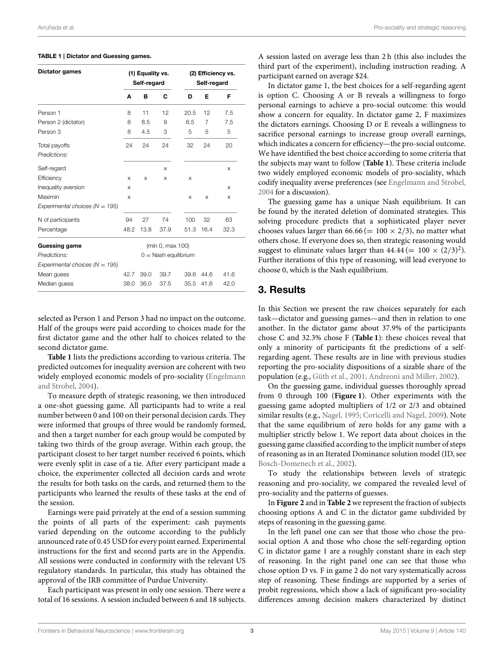| <b>Dictator games</b>                         | (1) Equality vs.<br>Self-regard |      |      | (2) Efficiency vs.<br>Self-regard |      |      |
|-----------------------------------------------|---------------------------------|------|------|-----------------------------------|------|------|
|                                               | A                               | в    | C    | D                                 | Е    | F    |
| Person 1                                      | 8                               | 11   | 12   | 20.5                              | 12   | 7.5  |
| Person 2 (dictator)                           | 8                               | 8.5  | 9    | 6.5                               | 7    | 7.5  |
| Person 3                                      | 8                               | 4.5  | 3    | 5                                 | 5    | 5    |
| Total payoffs<br>Predictions:                 | 24                              | 24   | 24   | 32                                | 24   | 20   |
| Self-regard                                   |                                 |      | X    |                                   |      | X    |
| Efficiency                                    | X                               | X    | X    | $\times$                          |      |      |
| Inequality aversion                           | X                               |      |      |                                   |      | X    |
| Maximin<br>Experimental choices ( $N = 195$ ) | X                               |      |      | X                                 | X    | X    |
| N of participants                             | 94                              | 27   | 74   | 100                               | 32   | 63   |
| Percentage                                    | 48.2                            | 13.8 | 37.9 | 51.3                              | 16.4 | 32.3 |
| <b>Guessing game</b>                          | (min 0, max 100)                |      |      |                                   |      |      |
| Predictions:                                  | $0 =$ Nash equilibrium          |      |      |                                   |      |      |
| Experimental choices ( $N = 195$ )            |                                 |      |      |                                   |      |      |
| Mean guess                                    | 42.7                            | 39.0 | 39.7 | 39.6                              | 44.6 | 41.6 |
| Median guess                                  | 38.0                            | 36.0 | 37.5 | 35.5                              | 41.6 | 42.0 |

#### <span id="page-2-0"></span>**TABLE 1 | Dictator and Guessing games.**

selected as Person 1 and Person 3 had no impact on the outcome. Half of the groups were paid according to choices made for the first dictator game and the other half to choices related to the second dictator game.

**[Table 1](#page-2-0)** lists the predictions according to various criteria. The predicted outcomes for inequality aversion are coherent with two widely employed economic models of pro-sociality (Engelmann and Strobel, [2004\)](#page-5-4).

To measure depth of strategic reasoning, we then introduced a one-shot guessing game. All participants had to write a real number between 0 and 100 on their personal decision cards. They were informed that groups of three would be randomly formed, and then a target number for each group would be computed by taking two thirds of the group average. Within each group, the participant closest to her target number received 6 points, which were evenly split in case of a tie. After every participant made a choice, the experimenter collected all decision cards and wrote the results for both tasks on the cards, and returned them to the participants who learned the results of these tasks at the end of the session.

Earnings were paid privately at the end of a session summing the points of all parts of the experiment: cash payments varied depending on the outcome according to the publicly announced rate of 0.45 USD for every point earned. Experimental instructions for the first and second parts are in the Appendix. All sessions were conducted in conformity with the relevant US regulatory standards. In particular, this study has obtained the approval of the IRB committee of Purdue University.

Each participant was present in only one session. There were a total of 16 sessions. A session included between 6 and 18 subjects.

A session lasted on average less than 2 h (this also includes the third part of the experiment), including instruction reading. A participant earned on average \$24.

In dictator game 1, the best choices for a self-regarding agent is option C. Choosing A or B reveals a willingness to forgo personal earnings to achieve a pro-social outcome: this would show a concern for equality. In dictator game 2, F maximizes the dictators earnings. Choosing D or E reveals a willingness to sacrifice personal earnings to increase group overall earnings, which indicates a concern for efficiency—the pro-social outcome. We have identified the best choice according to some criteria that the subjects may want to follow (**[Table 1](#page-2-0)**). These criteria include two widely employed economic models of pro-sociality, which codify inequality averse preferences (see [Engelmann and Strobel,](#page-5-4) [2004](#page-5-4) for a discussion).

The guessing game has a unique Nash equilibrium. It can be found by the iterated deletion of dominated strategies. This solving procedure predicts that a sophisticated player never chooses values larger than  $66.66 (= 100 \times 2/3)$ , no matter what others chose. If everyone does so, then strategic reasoning would suggest to eliminate values larger than  $44.44 (= 100 \times (2/3)^2)$ . Further iterations of this type of reasoning, will lead everyone to choose 0, which is the Nash equilibrium.

# **3. Results**

In this Section we present the raw choices separately for each task—dictator and guessing games—and then in relation to one another. In the dictator game about 37.9% of the participants chose C and 32.3% chose F (**[Table 1](#page-2-0)**): these choices reveal that only a minority of participants fit the predictions of a selfregarding agent. These results are in line with previous studies reporting the pro-sociality dispositions of a sizable share of the population (e.g., [Güth et al., 2001;](#page-6-9) [Andreoni and Miller, 2002\)](#page-5-2).

On the guessing game, individual guesses thoroughly spread from 0 through 100 (**[Figure 1](#page-3-0)**). Other experiments with the guessing game adopted multipliers of 1/2 or 2/3 and obtained similar results (e.g., [Nagel, 1995;](#page-6-2) [Coricelli and Nagel, 2009\)](#page-5-14). Note that the same equilibrium of zero holds for any game with a multiplier strictly below 1. We report data about choices in the guessing game classified according to the implicit number of steps of reasoning as in an Iterated Dominance solution model (ID, see [Bosch-Domenech et al., 2002\)](#page-5-23).

To study the relationships between levels of strategic reasoning and pro-sociality, we compared the revealed level of pro-sociality and the patterns of guesses.

In **[Figure 2](#page-3-1)** and in **[Table 2](#page-3-2)** we represent the fraction of subjects choosing options A and C in the dictator game subdivided by steps of reasoning in the guessing game.

In the left panel one can see that those who chose the prosocial option A and those who chose the self-regarding option C in dictator game 1 are a roughly constant share in each step of reasoning. In the right panel one can see that those who chose option D vs. F in game 2 do not vary systematically across step of reasoning. These findings are supported by a series of probit regressions, which show a lack of significant pro-sociality differences among decision makers characterized by distinct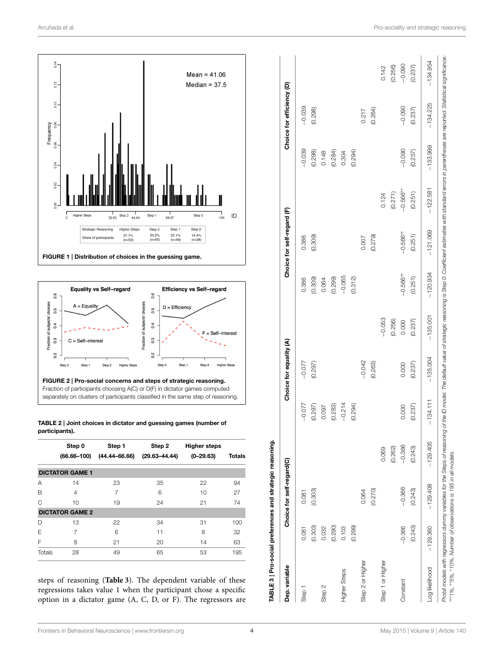

<span id="page-3-0"></span>

<span id="page-3-2"></span><span id="page-3-1"></span>**TABLE 2 | Joint choices in dictator and guessing games (number of participants).**

|        | Step 0<br>$(66.66 - 100)$ | Step 1<br>$(44.44 - 66.66)$ | Step 2<br>$(29.63 - 44.44)$ | <b>Higher steps</b><br>$(0-29.63)$ | Totals |
|--------|---------------------------|-----------------------------|-----------------------------|------------------------------------|--------|
|        | <b>DICTATOR GAME 1</b>    |                             |                             |                                    |        |
| Α      | 14                        | 23                          | 35                          | 22                                 | 94     |
| в      | 4                         | 7                           | 6                           | $10^{-}$                           | 27     |
| C      | 10                        | 19                          | 24                          | 21                                 | 74     |
|        | <b>DICTATOR GAME 2</b>    |                             |                             |                                    |        |
| D      | 13                        | 22                          | 34                          | 31                                 | 100    |
| F      | 7                         | 6                           | 11                          | 8                                  | 32     |
| F      | 8                         | 21                          | 20                          | 14                                 | 63     |
| Totals | 28                        | 49                          | 65                          | 53                                 | 195    |

<span id="page-3-3"></span>steps of reasoning (**[Table 3](#page-3-3)**). The dependent variable of these regressions takes value 1 when the participant chose a specific option in a dictator game (A, C, D, or F). The regressors are

| Dep. variable     |            | Choice for self-regard(C) |            |            | Choice for equality (A) |            |            | Choice for self-regard (F) |             |            | Choice for efficiency (D) |            |
|-------------------|------------|---------------------------|------------|------------|-------------------------|------------|------------|----------------------------|-------------|------------|---------------------------|------------|
| Step <sub>1</sub> | 0.081      | 0.081                     |            | $-0.077$   | $-0.077$                |            | 0.386      | 0.386                      |             | $-0.039$   | $-0.039$                  |            |
|                   | (0.303)    | (0.303)                   |            | (0.297)    | (0.297)                 |            | (0.309)    | (0.309)                    |             | (0.298)    | (0.298)                   |            |
| Step 2            | 0.032      |                           |            | 0.097      |                         |            | 0.064      |                            |             | 0.148      |                           |            |
|                   | (0.290)    |                           |            | (0.283)    |                         |            | (0.299)    |                            |             | (0.284)    |                           |            |
| Higher Steps      | 0.103      |                           |            | $-0.214$   |                         |            | $-0.065$   |                            |             | 0.304      |                           |            |
|                   | (0.299)    |                           |            | (0.294)    |                         |            | (0.312)    |                            |             | (0.294)    |                           |            |
| Step 2 or Higher  |            | 0.064                     |            |            | $-0.042$                |            |            | 0.007                      |             |            | 0.217                     |            |
|                   |            | (0.270)                   |            |            | (0.263)                 |            |            | (0.279)                    |             |            | (0.264)                   |            |
| Step 1 or Higher  |            |                           | 0.069      |            |                         | $-0.053$   |            |                            | 0.124       |            |                           | 0.142      |
|                   |            |                           | (0.262)    |            |                         | (0.256)    |            |                            | (0.271)     |            |                           | (0.256)    |
| Constant          | $-0.366$   | $-0.366$                  | $-0.366$   | 0.000      | 0.000                   | 0.000      | $-0.566**$ | $-0.566***$                | $-0.566***$ | $-0.090$   | $-0.090$                  | $-0.090$   |
|                   | (0.243)    | (0.243)                   | (0.243)    | (0.237)    | (0.237)                 | (0.237)    | (0.251)    | (0.251)                    | (0.251)     | (0.237)    | (0.237)                   | (0.237)    |
| Log likelihood    | $-129.360$ | $-129.408$                | $-129.405$ | $-134.111$ | $-135.004$              | $-135.001$ | $-120.934$ | $-121.069$                 | $-122.581$  | $-133.999$ | $-134.225$                | $-134.954$ |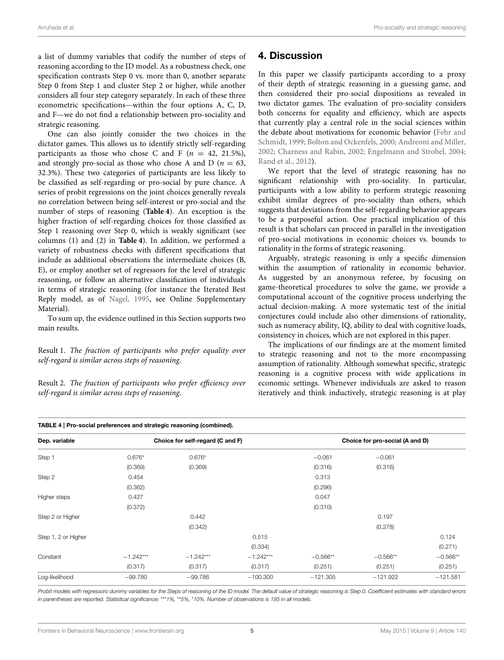a list of dummy variables that codify the number of steps of reasoning according to the ID model. As a robustness check, one specification contrasts Step 0 vs. more than 0, another separate Step 0 from Step 1 and cluster Step 2 or higher, while another considers all four step category separately. In each of these three econometric specifications—within the four options A, C, D, and F—we do not find a relationship between pro-sociality and strategic reasoning.

One can also jointly consider the two choices in the dictator games. This allows us to identify strictly self-regarding participants as those who chose C and F  $(n = 42, 21.5\%)$ , and strongly pro-social as those who chose A and D ( $n = 63$ , 32.3%). These two categories of participants are less likely to be classified as self-regarding or pro-social by pure chance. A series of probit regressions on the joint choices generally reveals no correlation between being self-interest or pro-social and the number of steps of reasoning (**[Table 4](#page-4-0)**). An exception is the higher fraction of self-regarding choices for those classified as Step 1 reasoning over Step 0, which is weakly significant (see columns (1) and (2) in **[Table 4](#page-4-0)**). In addition, we performed a variety of robustness checks with different specifications that include as additional observations the intermediate choices (B, E), or employ another set of regressors for the level of strategic reasoning, or follow an alternative classification of individuals in terms of strategic reasoning (for instance the Iterated Best Reply model, as of [Nagel, 1995,](#page-6-2) see Online Supplementary Material).

To sum up, the evidence outlined in this Section supports two main results.

Result 1. *The fraction of participants who prefer equality over self-regard is similar across steps of reasoning.*

Result 2. *The fraction of participants who prefer efficiency over self-regard is similar across steps of reasoning.*

# **4. Discussion**

In this paper we classify participants according to a proxy of their depth of strategic reasoning in a guessing game, and then considered their pro-social dispositions as revealed in two dictator games. The evaluation of pro-sociality considers both concerns for equality and efficiency, which are aspects that currently play a central role in the social sciences within the debate about motivations for economic behavior (Fehr and Schmidt, [1999;](#page-5-0) [Bolton and Ockenfels, 2000;](#page-5-1) [Andreoni and Miller,](#page-5-2) [2002;](#page-5-2) [Charness and Rabin, 2002;](#page-5-3) [Engelmann and Strobel, 2004;](#page-5-4) [Rand et al., 2012\)](#page-6-10).

We report that the level of strategic reasoning has no significant relationship with pro-sociality. In particular, participants with a low ability to perform strategic reasoning exhibit similar degrees of pro-sociality than others, which suggests that deviations from the self-regarding behavior appears to be a purposeful action. One practical implication of this result is that scholars can proceed in parallel in the investigation of pro-social motivations in economic choices vs. bounds to rationality in the forms of strategic reasoning.

Arguably, strategic reasoning is only a specific dimension within the assumption of rationality in economic behavior. As suggested by an anonymous referee, by focusing on game-theoretical procedures to solve the game, we provide a computational account of the cognitive process underlying the actual decision-making. A more systematic test of the initial conjectures could include also other dimensions of rationality, such as numeracy ability, IQ, ability to deal with cognitive loads, consistency in choices, which are not explored in this paper.

The implications of our findings are at the moment limited to strategic reasoning and not to the more encompassing assumption of rationality. Although somewhat specific, strategic reasoning is a cognitive process with wide applications in economic settings. Whenever individuals are asked to reason iteratively and think inductively, strategic reasoning is at play

<span id="page-4-0"></span>

| Dep. variable       |             | Choice for self-regard (C and F) |             |            | Choice for pro-social (A and D) |            |
|---------------------|-------------|----------------------------------|-------------|------------|---------------------------------|------------|
| Step 1              | $0.676*$    | $0.676*$                         |             | $-0.061$   | $-0.061$                        |            |
|                     | (0.369)     | (0.369)                          |             | (0.316)    | (0.316)                         |            |
| Step 2              | 0.454       |                                  |             | 0.313      |                                 |            |
|                     | (0.362)     |                                  |             | (0.296)    |                                 |            |
| Higher steps        | 0.427       |                                  |             | 0.047      |                                 |            |
|                     | (0.372)     |                                  |             | (0.310)    |                                 |            |
| Step 2 or Higher    |             | 0.442                            |             |            | 0.197                           |            |
|                     |             | (0.342)                          |             |            | (0.278)                         |            |
| Step 1, 2 or Higher |             |                                  | 0.515       |            |                                 | 0.124      |
|                     |             |                                  | (0.334)     |            |                                 | (0.271)    |
| Constant            | $-1.242***$ | $-1.242***$                      | $-1.242***$ | $-0.566**$ | $-0.566**$                      | $-0.566**$ |
|                     | (0.317)     | (0.317)                          | (0.317)     | (0.251)    | (0.251)                         | (0.251)    |
| Log-likelihood      | $-99.780$   | $-99.786$                        | $-100.300$  | $-121.305$ | $-121.922$                      | $-121.581$ |

*Probit models with regressors dummy variables for the Steps of reasoning of the ID model. The default value of strategic reasoning is Step 0. Coefficient estimates with standard errors in parentheses are reported. Statistical significance:* \*\*\**1%,* \*\**5%,* \**10%. Number of observations is 195 in all models.*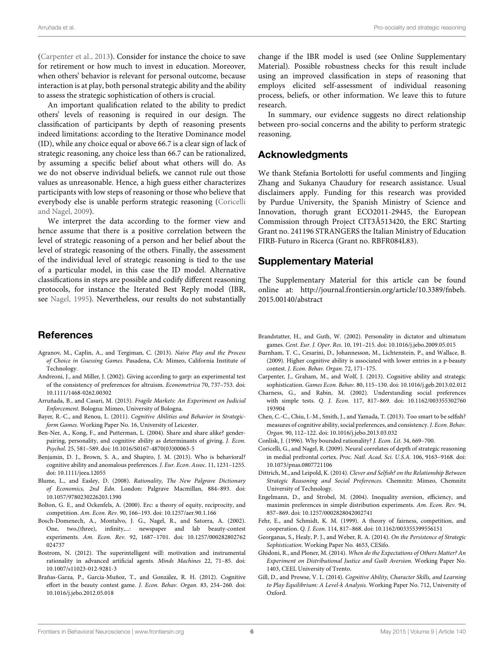[\(Carpenter et al., 2013\)](#page-5-12). Consider for instance the choice to save for retirement or how much to invest in education. Moreover, when others' behavior is relevant for personal outcome, because interaction is at play, both personal strategic ability and the ability to assess the strategic sophistication of others is crucial.

An important qualification related to the ability to predict others' levels of reasoning is required in our design. The classification of participants by depth of reasoning presents indeed limitations: according to the Iterative Dominance model (ID), while any choice equal or above 66.7 is a clear sign of lack of strategic reasoning, any choice less than 66.7 can be rationalized, by assuming a specific belief about what others will do. As we do not observe individual beliefs, we cannot rule out those values as unreasonable. Hence, a high guess either characterizes participants with low steps of reasoning or those who believe that everybody else is unable perform strategic reasoning (Coricelli and Nagel, [2009\)](#page-5-14).

We interpret the data according to the former view and hence assume that there is a positive correlation between the level of strategic reasoning of a person and her belief about the level of strategic reasoning of the others. Finally, the assessment of the individual level of strategic reasoning is tied to the use of a particular model, in this case the ID model. Alternative classifications in steps are possible and codify different reasoning protocols, for instance the Iterated Best Reply model (IBR, see [Nagel, 1995\)](#page-6-2). Nevertheless, our results do not substantially

## **References**

- <span id="page-5-10"></span>Agranov, M., Caplin, A., and Tergiman, C. (2013). *Naive Play and the Process of Choice in Guessing Games.* Pasadena, CA: Mimeo, California Institute of Technology.
- <span id="page-5-2"></span>Andreoni, J., and Miller, J. (2002). Giving according to garp: an experimental test of the consistency of preferences for altruism. *Econometrica* 70, 737–753. doi: 10.1111/1468-0262.00302
- <span id="page-5-22"></span>Arruñada, B., and Casari, M. (2013). *Fragile Markets: An Experiment on Judicial Enforcement.* Bologna: Mimeo, University of Bologna.
- <span id="page-5-19"></span>Bayer, R.-C., and Renou, L. (2011). *Cognitive Abilities and Behavior in Strategicform Games.* Working Paper No. 16, University of Leicester.
- <span id="page-5-17"></span>Ben-Ner, A., Kong, F., and Putterman, L. (2004). Share and share alike? genderpairing, personality, and cognitive ability as determinants of giving. *J. Econ. Psychol.* 25, 581–589. doi: 10.1016/S0167-4870(03)00065-5
- <span id="page-5-18"></span>Benjamin, D. J., Brown, S. A., and Shapiro, J. M. (2013). Who is behavioral? cognitive ability and anomalous preferences. *J. Eur. Econ. Assoc.* 11, 1231–1255. doi: 10.1111/jeea.12055
- <span id="page-5-6"></span>Blume, L., and Easley, D. (2008). *Rationality, The New Palgrave Dictionary of Economics, 2nd Edn.* London: Palgrave Macmillan, 884–893. doi: 10.1057/9780230226203.1390
- <span id="page-5-1"></span>Bolton, G. E., and Ockenfels, A. (2000). Erc: a theory of equity, reciprocity, and competition. *Am. Econ. Rev.* 90, 166–193. doi: 10.1257/aer.90.1.166
- <span id="page-5-23"></span>Bosch-Domenech, A., Montalvo, J. G., Nagel, R., and Satorra, A. (2002). One, two,(three), infinity,...: newspaper and lab beauty-contest experiments. *Am. Econ. Rev.* 92, 1687–1701. doi: 10.1257/000282802762 024737
- <span id="page-5-7"></span>Bostrom, N. (2012). The superintelligent will: motivation and instrumental rationality in advanced artificial agents. *Minds Machines* 22, 71–85. doi: 10.1007/s11023-012-9281-3
- <span id="page-5-11"></span>Brañas-Garza, P., Garcia-Muñoz, T., and González, R. H. (2012). Cognitive effort in the beauty contest game. *J. Econ. Behav. Organ.* 83, 254–260. doi: 10.1016/j.jebo.2012.05.018

change if the IBR model is used (see Online Supplementary Material). Possible robustness checks for this result include using an improved classification in steps of reasoning that employs elicited self-assessment of individual reasoning process, beliefs, or other information. We leave this to future research.

In summary, our evidence suggests no direct relationship between pro-social concerns and the ability to perform strategic reasoning.

### **Acknowledgments**

We thank Stefania Bortolotti for useful comments and Jingjing Zhang and Sukanya Chaudury for research assistance. Usual disclaimers apply. Funding for this research was provided by Purdue University, the Spanish Ministry of Science and Innovation, thorugh grant ECO2011-29445, the European Commission through Project CIT3Â513420, the ERC Starting Grant no. 241196 STRANGERS the Italian Ministry of Education FIRB-Futuro in Ricerca (Grant no. RBFR084L83).

### **Supplementary Material**

The Supplementary Material for this article can be found online at: [http://journal.frontiersin.org/article/10.3389/fnbeh.](http://journal.frontiersin.org/article/10.3389/fnbeh.2015.00140/abstract) [2015.00140/abstract](http://journal.frontiersin.org/article/10.3389/fnbeh.2015.00140/abstract)

- <span id="page-5-16"></span>Brandstatter, H., and Guth, W. (2002). Personality in dictator and ultimatum games. *Cent. Eur. J. Oper. Res.* 10, 191–215. doi: 10.1016/j.jebo.2009.05.015
- <span id="page-5-8"></span>Burnham, T. C., Cesarini, D., Johannesson, M., Lichtenstein, P., and Wallace, B. (2009). Higher cognitive ability is associated with lower entries in a p-beauty contest. *J. Econ. Behav. Organ.* 72, 171–175.
- <span id="page-5-12"></span>Carpenter, J., Graham, M., and Wolf, J. (2013). Cognitive ability and strategic sophistication. *Games Econ. Behav.* 80, 115–130. doi: 10.1016/j.geb.2013.02.012
- <span id="page-5-3"></span>Charness, G., and Rabin, M. (2002). Understanding social preferences with simple tests. *Q. J. Econ.* 117, 817–869. doi: 10.1162/003355302760 193904
- <span id="page-5-15"></span>Chen, C.-C., Chiu, I.-M., Smith, J., and Yamada, T. (2013). Too smart to be selfish? measures of cognitive ability, social preferences, and consistency. *J. Econ. Behav. Organ.* 90, 112–122. doi: 10.1016/j.jebo.2013.03.032
- <span id="page-5-5"></span>Conlisk, J. (1996). Why bounded rationality? *J. Econ. Lit.* 34, 669–700.
- <span id="page-5-14"></span>Coricelli, G., and Nagel, R. (2009). Neural correlates of depth of strategic reasoning in medial prefrontal cortex. *Proc. Natl. Acad. Sci. U.S.A.* 106, 9163–9168. doi: 10.1073/pnas.0807721106
- <span id="page-5-20"></span>Dittrich, M., and Leipold, K. (2014). *Clever and Selfish? on the Relationship Between Strategic Reasoning and Social Preferences.* Chemnitz: Mimeo, Chemnitz University of Technology.
- <span id="page-5-4"></span>Engelmann, D., and Strobel, M. (2004). Inequality aversion, efficiency, and maximin preferences in simple distribution experiments. *Am. Econ. Rev.* 94, 857–869. doi: 10.1257/0002828042002741
- <span id="page-5-0"></span>Fehr, E., and Schmidt, K. M. (1999). A theory of fairness, competition, and cooperation. *Q. J. Econ.* 114, 817–868. doi: 10.1162/003355399556151
- <span id="page-5-13"></span>Georganas, S., Healy, P. J., and Weber, R. A. (2014). *On the Persistence of Strategic Sophistication*. Working Paper No. 4653, CESifo.
- <span id="page-5-21"></span>Ghidoni, R., and Ploner, M. (2014). *When do the Expectations of Others Matter? An Experiment on Distributional Justice and Guilt Aversion.* Working Paper No. 1403, CEEL University of Trento.
- <span id="page-5-9"></span>Gill, D., and Prowse, V. L. (2014). *Cognitive Ability, Character Skills, and Learning to Play Equilibrium: A Level-k Analysis.* Working Paper No. 712, University of Oxford.